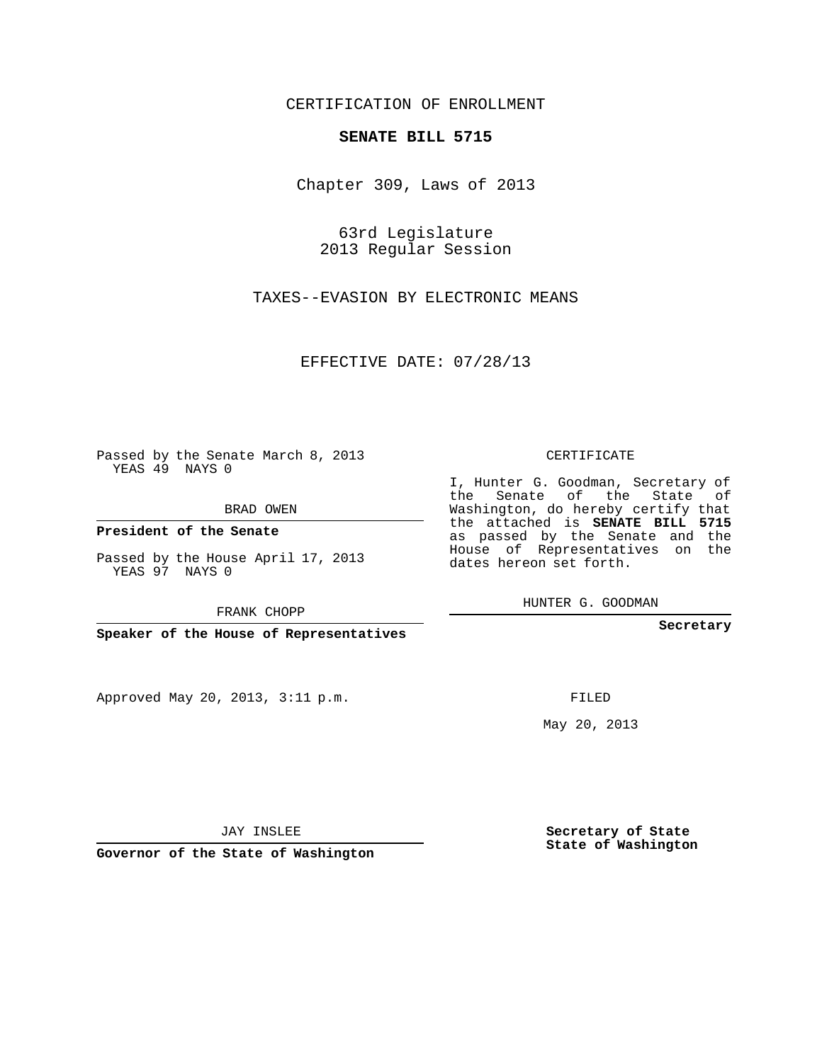## CERTIFICATION OF ENROLLMENT

## **SENATE BILL 5715**

Chapter 309, Laws of 2013

63rd Legislature 2013 Regular Session

TAXES--EVASION BY ELECTRONIC MEANS

EFFECTIVE DATE: 07/28/13

 $\sim 10^{-11}$ 

Passed by the Senate March 8, 2013 YEAS 49 NAYS 0

BRAD OWEN

**President of the Senate**

Passed by the House April 17, 2013 YEAS 97 NAYS 0

FRANK CHOPP

**Speaker of the House of Representatives**

Approved May 20, 2013, 3:11 p.m.

CERTIFICATE

I, Hunter G. Goodman, Secretary of the Senate of the State of Washington, do hereby certify that the attached is **SENATE BILL 5715** as passed by the Senate and the House of Representatives on the dates hereon set forth.

HUNTER G. GOODMAN

**Secretary**

FILED

May 20, 2013

**Secretary of State State of Washington**

JAY INSLEE

**Governor of the State of Washington**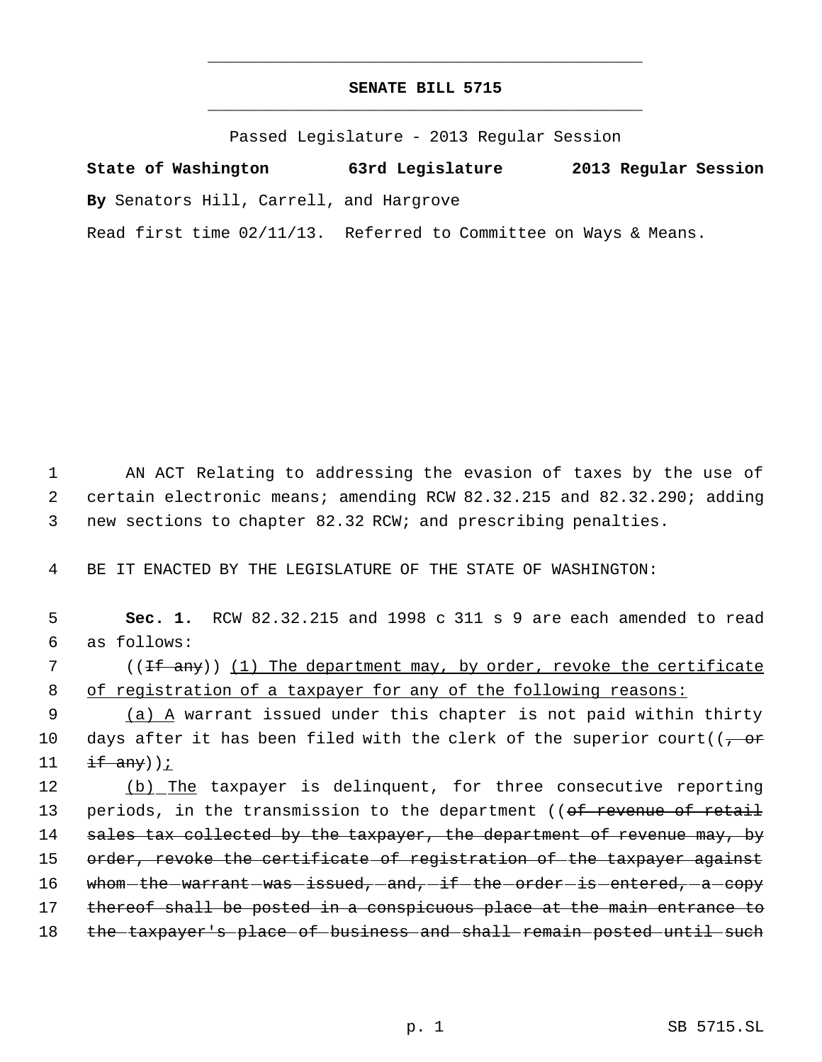## **SENATE BILL 5715** \_\_\_\_\_\_\_\_\_\_\_\_\_\_\_\_\_\_\_\_\_\_\_\_\_\_\_\_\_\_\_\_\_\_\_\_\_\_\_\_\_\_\_\_\_

\_\_\_\_\_\_\_\_\_\_\_\_\_\_\_\_\_\_\_\_\_\_\_\_\_\_\_\_\_\_\_\_\_\_\_\_\_\_\_\_\_\_\_\_\_

Passed Legislature - 2013 Regular Session

**State of Washington 63rd Legislature 2013 Regular Session By** Senators Hill, Carrell, and Hargrove Read first time 02/11/13. Referred to Committee on Ways & Means.

 1 AN ACT Relating to addressing the evasion of taxes by the use of 2 certain electronic means; amending RCW 82.32.215 and 82.32.290; adding 3 new sections to chapter 82.32 RCW; and prescribing penalties.

4 BE IT ENACTED BY THE LEGISLATURE OF THE STATE OF WASHINGTON:

 5 **Sec. 1.** RCW 82.32.215 and 1998 c 311 s 9 are each amended to read 6 as follows: 7 ((<del>If any</del>)) (1) The department may, by order, revoke the certificate 8 of registration of a taxpayer for any of the following reasons: 9 (a) A warrant issued under this chapter is not paid within thirty 10 days after it has been filed with the clerk of the superior court( $(-\sigma \hat{r})$ 11  $if$  any)); 12 (b) The taxpayer is delinquent, for three consecutive reporting 13 periods, in the transmission to the department ((of revenue of retail 14 sales tax collected by the taxpayer, the department of revenue may, by 15 order, revoke the certificate of registration of the taxpayer against 16 whom-the-warrant-was-issued, and, if the order-is entered, a copy 17 thereof shall be posted in a conspicuous place at the main entrance to 18 the taxpayer's place of business and shall remain posted until such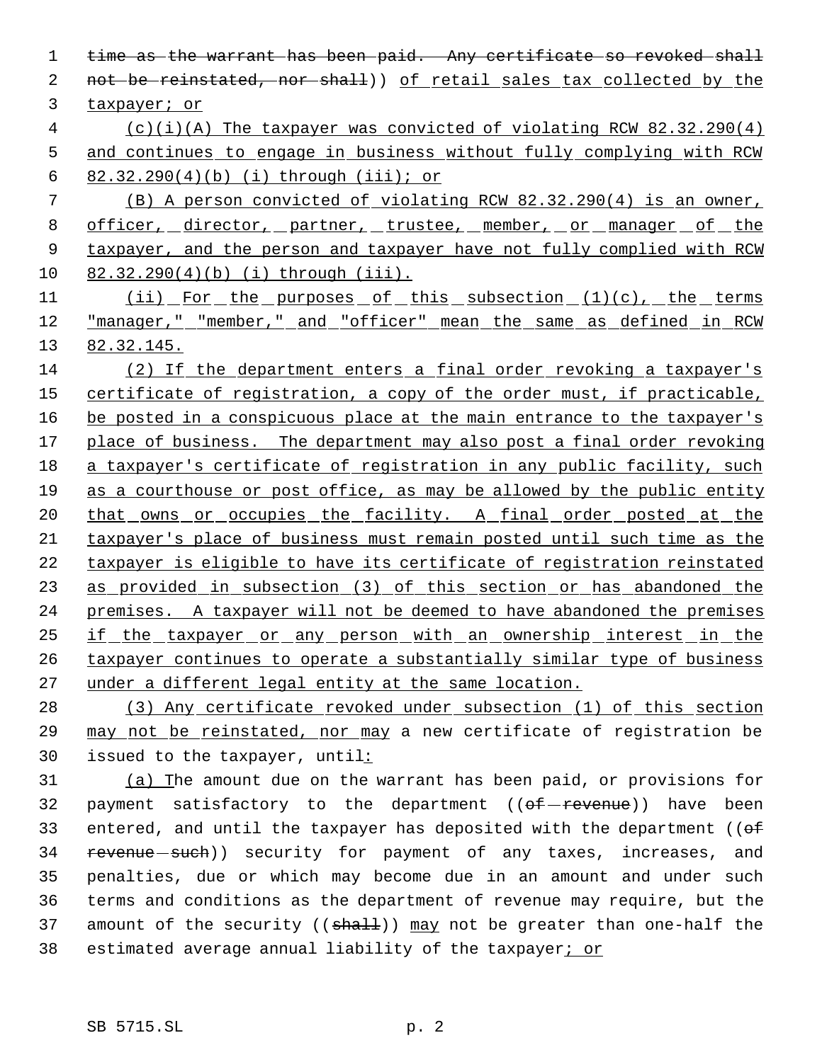1 time as the warrant has been paid. Any certificate so revoked shall 2 not be reinstated, nor shall)) of retail sales tax collected by the taxpayer; or (c)(i)(A) The taxpayer was convicted of violating RCW 82.32.290(4) and continues to engage in business without fully complying with RCW 82.32.290(4)(b) (i) through (iii); or (B) A person convicted of violating RCW 82.32.290(4) is an owner, 8 officer, director, partner, trustee, member, or manager of the taxpayer, and the person and taxpayer have not fully complied with RCW 82.32.290(4)(b) (i) through (iii). 11 (ii) For the purposes of this subsection (1)(c), the terms "manager," "member," and "officer" mean the same as defined in RCW 82.32.145.

 (2) If the department enters a final order revoking a taxpayer's 15 certificate of registration, a copy of the order must, if practicable, 16 be posted in a conspicuous place at the main entrance to the taxpayer's 17 place of business. The department may also post a final order revoking a taxpayer's certificate of registration in any public facility, such 19 as a courthouse or post office, as may be allowed by the public entity 20 that owns or occupies the facility. A final order posted at the taxpayer's place of business must remain posted until such time as the taxpayer is eligible to have its certificate of registration reinstated as provided in subsection (3) of this section or has abandoned the premises. A taxpayer will not be deemed to have abandoned the premises if the taxpayer or any person with an ownership interest in the taxpayer continues to operate a substantially similar type of business under a different legal entity at the same location.

 (3) Any certificate revoked under subsection (1) of this section may not be reinstated, nor may a new certificate of registration be issued to the taxpayer, until:

 (a) The amount due on the warrant has been paid, or provisions for 32 payment satisfactory to the department  $((e^{\frac{f}{c}} - r e^{\frac{f}{c}}))$  have been 33 entered, and until the taxpayer has deposited with the department (( $\theta$ f) 34 revenue - such)) security for payment of any taxes, increases, and penalties, due or which may become due in an amount and under such terms and conditions as the department of revenue may require, but the 37 amount of the security (( $\frac{1}{3}$ ) may not be greater than one-half the 38 estimated average annual liability of the taxpayer; or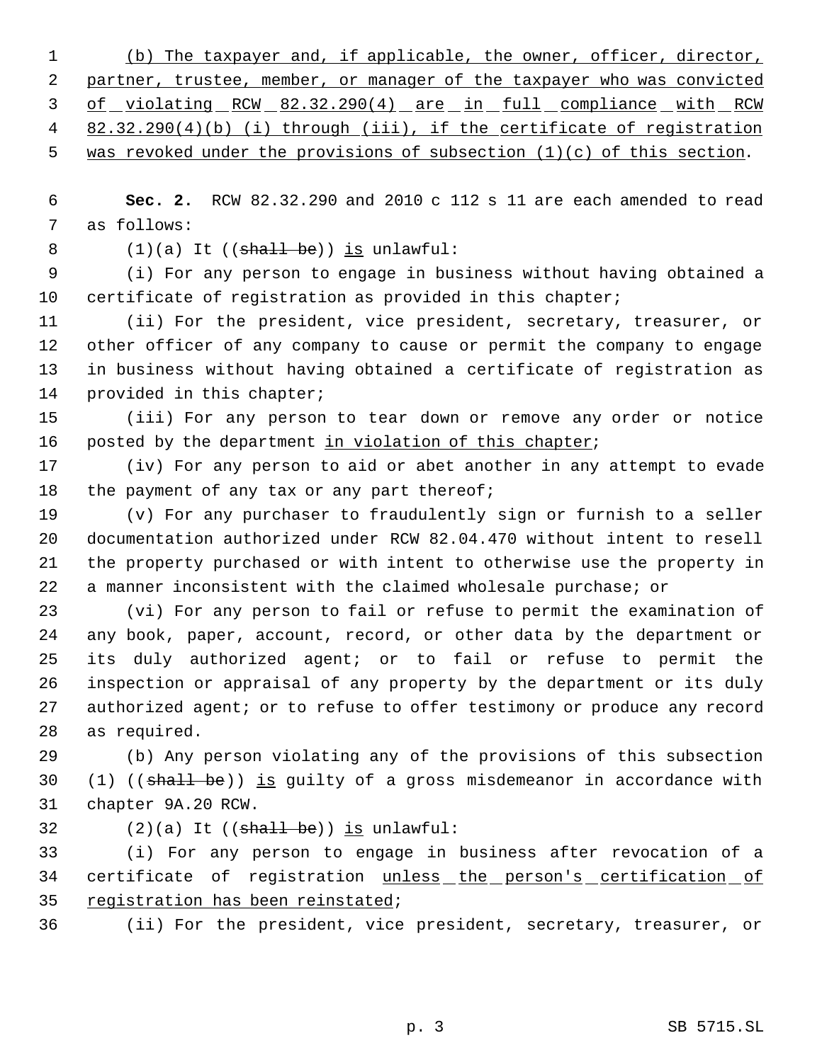(b) The taxpayer and, if applicable, the owner, officer, director, 2 partner, trustee, member, or manager of the taxpayer who was convicted 3 of violating RCW 82.32.290(4) are in full compliance with RCW 82.32.290(4)(b) (i) through (iii), if the certificate of registration 5 was revoked under the provisions of subsection (1)(c) of this section.

 **Sec. 2.** RCW 82.32.290 and 2010 c 112 s 11 are each amended to read as follows:

8  $(1)(a)$  It  $((shall be))$  is unlawful:

 (i) For any person to engage in business without having obtained a certificate of registration as provided in this chapter;

 (ii) For the president, vice president, secretary, treasurer, or other officer of any company to cause or permit the company to engage in business without having obtained a certificate of registration as provided in this chapter;

 (iii) For any person to tear down or remove any order or notice 16 posted by the department in violation of this chapter;

 (iv) For any person to aid or abet another in any attempt to evade 18 the payment of any tax or any part thereof;

 (v) For any purchaser to fraudulently sign or furnish to a seller documentation authorized under RCW 82.04.470 without intent to resell the property purchased or with intent to otherwise use the property in a manner inconsistent with the claimed wholesale purchase; or

 (vi) For any person to fail or refuse to permit the examination of any book, paper, account, record, or other data by the department or its duly authorized agent; or to fail or refuse to permit the inspection or appraisal of any property by the department or its duly 27 authorized agent; or to refuse to offer testimony or produce any record as required.

 (b) Any person violating any of the provisions of this subsection 30 (1) (( $\frac{1}{10}$ )  $\frac{1}{15}$  guilty of a gross misdemeanor in accordance with chapter 9A.20 RCW.

32  $(2)(a)$  It  $((\text{shall} \text{ be}))$  is unlawful:

 (i) For any person to engage in business after revocation of a 34 certificate of registration unless the person's certification of registration has been reinstated;

(ii) For the president, vice president, secretary, treasurer, or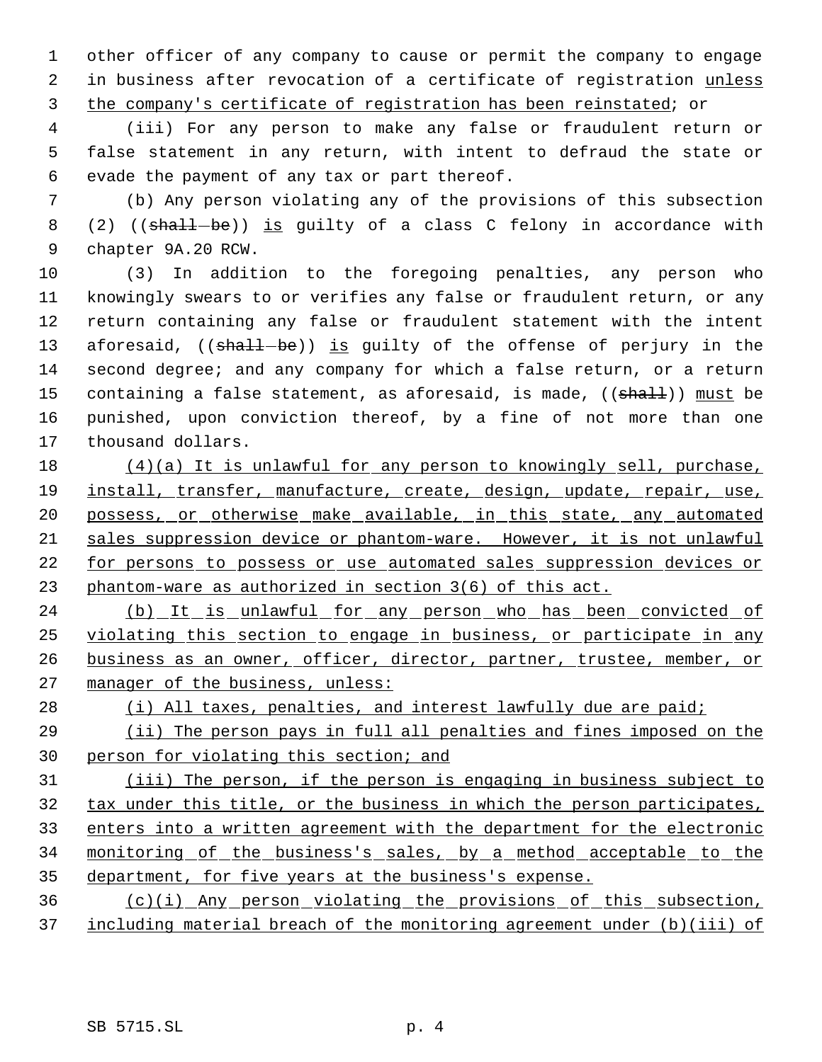other officer of any company to cause or permit the company to engage 2 in business after revocation of a certificate of registration unless the company's certificate of registration has been reinstated; or

 (iii) For any person to make any false or fraudulent return or false statement in any return, with intent to defraud the state or evade the payment of any tax or part thereof.

 (b) Any person violating any of the provisions of this subsection 8 (2) ((shall-be)) is guilty of a class C felony in accordance with chapter 9A.20 RCW.

 (3) In addition to the foregoing penalties, any person who knowingly swears to or verifies any false or fraudulent return, or any return containing any false or fraudulent statement with the intent 13 aforesaid, ((shall-be)) is guilty of the offense of perjury in the second degree; and any company for which a false return, or a return 15 containing a false statement, as aforesaid, is made, ((shall)) must be punished, upon conviction thereof, by a fine of not more than one thousand dollars.

 (4)(a) It is unlawful for any person to knowingly sell, purchase, install, transfer, manufacture, create, design, update, repair, use, 20 possess, or otherwise make available, in this state, any automated sales suppression device or phantom-ware. However, it is not unlawful for persons to possess or use automated sales suppression devices or phantom-ware as authorized in section 3(6) of this act.

24 (b) It is unlawful for any person who has been convicted of violating this section to engage in business, or participate in any 26 business as an owner, officer, director, partner, trustee, member, or 27 manager of the business, unless:

28 (i) All taxes, penalties, and interest lawfully due are paid;

 (ii) The person pays in full all penalties and fines imposed on the person for violating this section; and

 (iii) The person, if the person is engaging in business subject to tax under this title, or the business in which the person participates, enters into a written agreement with the department for the electronic 34 monitoring of the business's sales, by a method acceptable to the department, for five years at the business's expense.

 (c)(i) Any person violating the provisions of this subsection, including material breach of the monitoring agreement under (b)(iii) of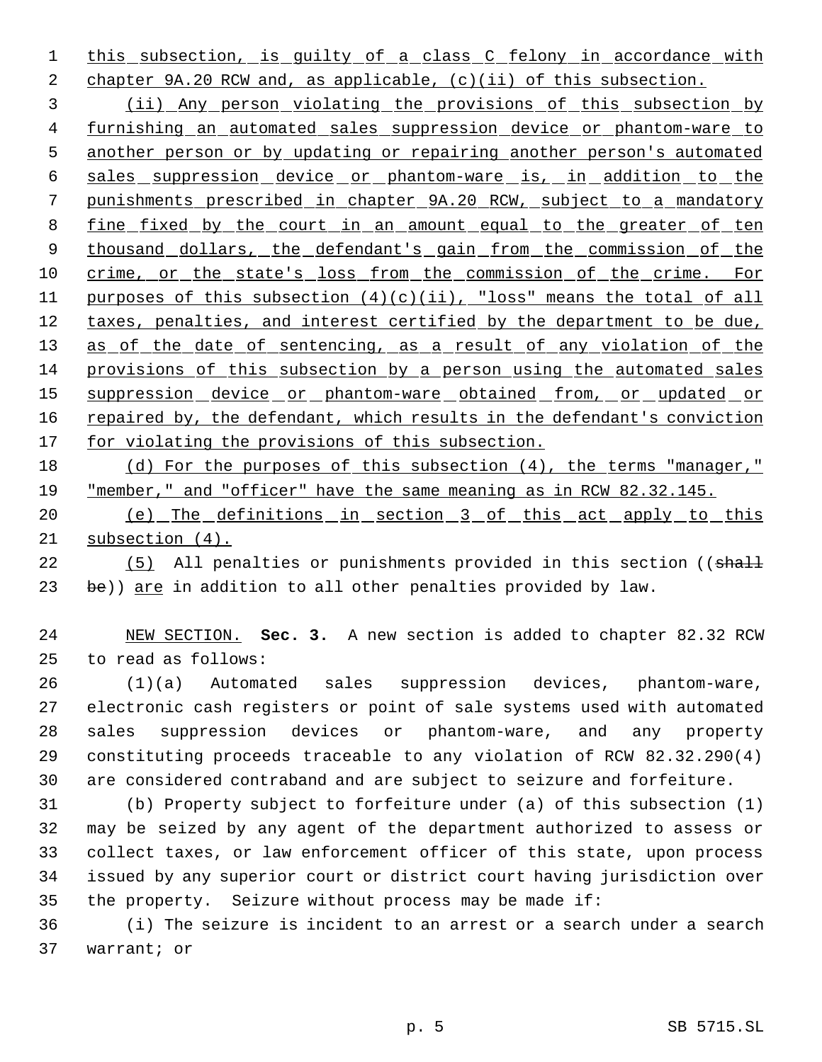1 this subsection, is guilty of a class C felony in accordance with 2 chapter 9A.20 RCW and, as applicable, (c)(ii) of this subsection.

 3 (ii) Any person violating the provisions of this subsection by 4 furnishing an automated sales suppression device or phantom-ware to 5 another person or by updating or repairing another person's automated 6 sales suppression device or phantom-ware is, in addition to the 7 punishments prescribed in chapter 9A.20 RCW, subject to a mandatory 8 fine fixed by the court in an amount equal to the greater of ten 9 thousand dollars, the defendant's gain from the commission of the 10 crime, or the state's loss from the commission of the crime. For 11 purposes of this subsection  $(4)(c)(ii)$ , "loss" means the total of all 12 taxes, penalties, and interest certified by the department to be due, 13 as of the date of sentencing, as a result of any violation of the 14 provisions of this subsection by a person using the automated sales 15 suppression device or phantom-ware obtained from, or updated or 16 repaired by, the defendant, which results in the defendant's conviction 17 for violating the provisions of this subsection.

18 (d) For the purposes of this subsection (4), the terms "manager," 19 "member," and "officer" have the same meaning as in RCW 82.32.145.

20 (e) The definitions in section 3 of this act apply to this 21 subsection (4).

22 (5) All penalties or punishments provided in this section ((shall 23 be)) are in addition to all other penalties provided by law.

24 NEW SECTION. **Sec. 3.** A new section is added to chapter 82.32 RCW 25 to read as follows:

 (1)(a) Automated sales suppression devices, phantom-ware, electronic cash registers or point of sale systems used with automated sales suppression devices or phantom-ware, and any property constituting proceeds traceable to any violation of RCW 82.32.290(4) are considered contraband and are subject to seizure and forfeiture.

 (b) Property subject to forfeiture under (a) of this subsection (1) may be seized by any agent of the department authorized to assess or collect taxes, or law enforcement officer of this state, upon process issued by any superior court or district court having jurisdiction over the property. Seizure without process may be made if:

36 (i) The seizure is incident to an arrest or a search under a search 37 warrant; or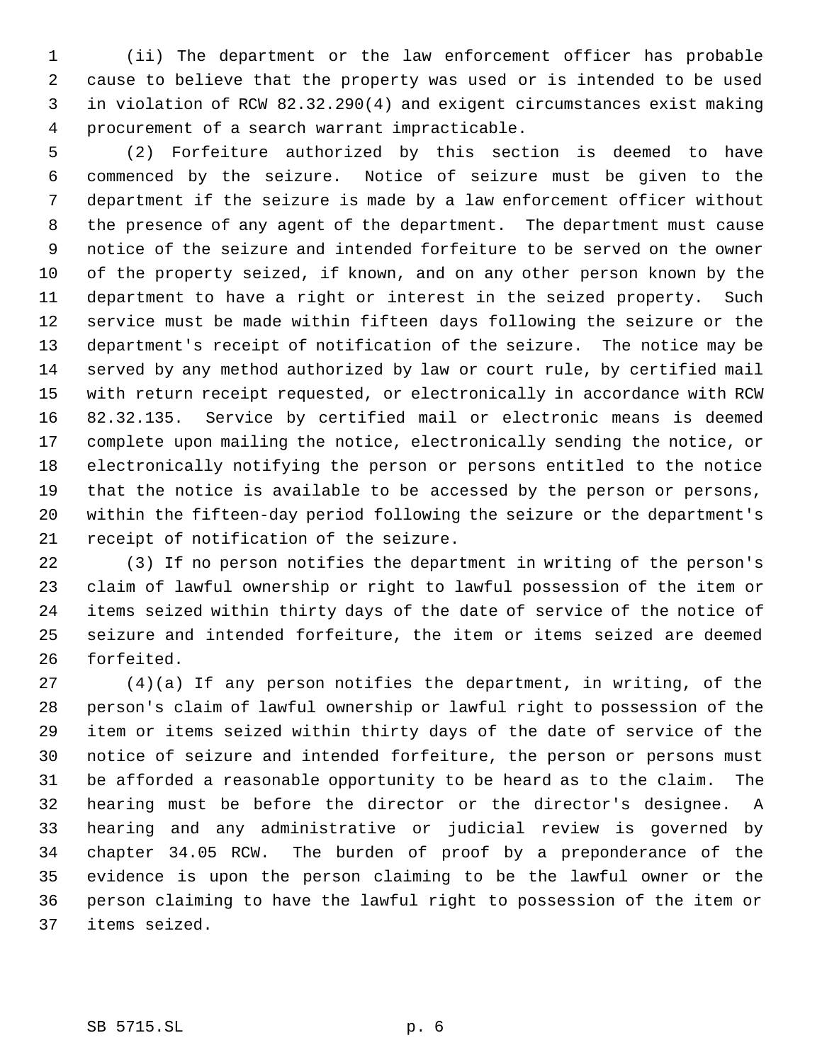(ii) The department or the law enforcement officer has probable cause to believe that the property was used or is intended to be used in violation of RCW 82.32.290(4) and exigent circumstances exist making procurement of a search warrant impracticable.

 (2) Forfeiture authorized by this section is deemed to have commenced by the seizure. Notice of seizure must be given to the department if the seizure is made by a law enforcement officer without the presence of any agent of the department. The department must cause notice of the seizure and intended forfeiture to be served on the owner of the property seized, if known, and on any other person known by the department to have a right or interest in the seized property. Such service must be made within fifteen days following the seizure or the department's receipt of notification of the seizure. The notice may be served by any method authorized by law or court rule, by certified mail with return receipt requested, or electronically in accordance with RCW 82.32.135. Service by certified mail or electronic means is deemed complete upon mailing the notice, electronically sending the notice, or electronically notifying the person or persons entitled to the notice that the notice is available to be accessed by the person or persons, within the fifteen-day period following the seizure or the department's receipt of notification of the seizure.

 (3) If no person notifies the department in writing of the person's claim of lawful ownership or right to lawful possession of the item or items seized within thirty days of the date of service of the notice of seizure and intended forfeiture, the item or items seized are deemed forfeited.

 (4)(a) If any person notifies the department, in writing, of the person's claim of lawful ownership or lawful right to possession of the item or items seized within thirty days of the date of service of the notice of seizure and intended forfeiture, the person or persons must be afforded a reasonable opportunity to be heard as to the claim. The hearing must be before the director or the director's designee. A hearing and any administrative or judicial review is governed by chapter 34.05 RCW. The burden of proof by a preponderance of the evidence is upon the person claiming to be the lawful owner or the person claiming to have the lawful right to possession of the item or items seized.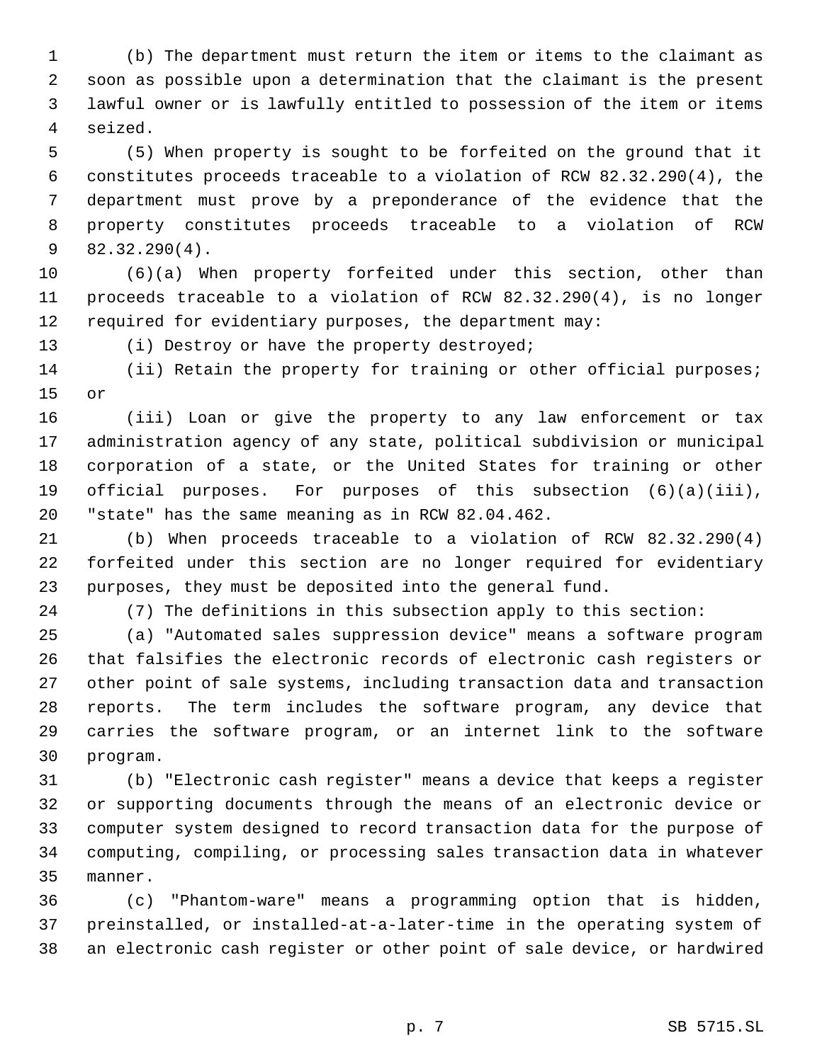(b) The department must return the item or items to the claimant as soon as possible upon a determination that the claimant is the present lawful owner or is lawfully entitled to possession of the item or items seized.

 (5) When property is sought to be forfeited on the ground that it constitutes proceeds traceable to a violation of RCW 82.32.290(4), the department must prove by a preponderance of the evidence that the property constitutes proceeds traceable to a violation of RCW 82.32.290(4).

 (6)(a) When property forfeited under this section, other than proceeds traceable to a violation of RCW 82.32.290(4), is no longer required for evidentiary purposes, the department may:

(i) Destroy or have the property destroyed;

14 (ii) Retain the property for training or other official purposes; or

 (iii) Loan or give the property to any law enforcement or tax administration agency of any state, political subdivision or municipal corporation of a state, or the United States for training or other official purposes. For purposes of this subsection (6)(a)(iii), "state" has the same meaning as in RCW 82.04.462.

 (b) When proceeds traceable to a violation of RCW 82.32.290(4) forfeited under this section are no longer required for evidentiary purposes, they must be deposited into the general fund.

(7) The definitions in this subsection apply to this section:

 (a) "Automated sales suppression device" means a software program that falsifies the electronic records of electronic cash registers or other point of sale systems, including transaction data and transaction reports. The term includes the software program, any device that carries the software program, or an internet link to the software program.

 (b) "Electronic cash register" means a device that keeps a register or supporting documents through the means of an electronic device or computer system designed to record transaction data for the purpose of computing, compiling, or processing sales transaction data in whatever manner.

 (c) "Phantom-ware" means a programming option that is hidden, preinstalled, or installed-at-a-later-time in the operating system of an electronic cash register or other point of sale device, or hardwired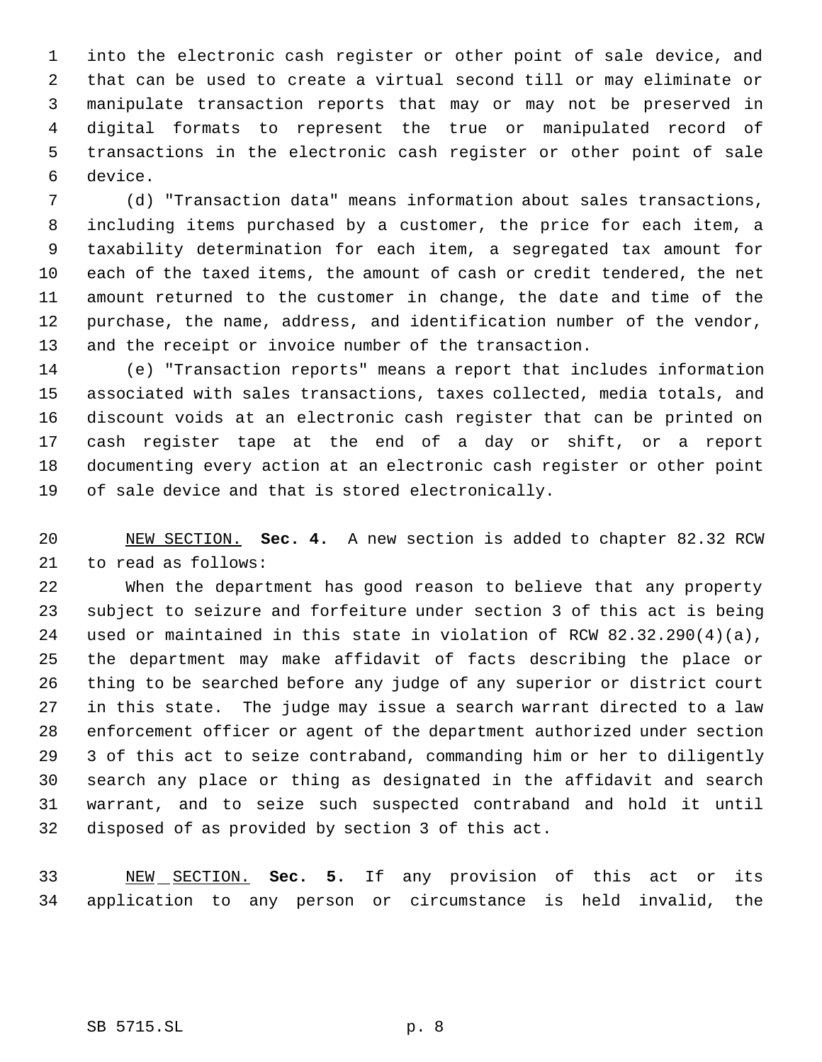into the electronic cash register or other point of sale device, and that can be used to create a virtual second till or may eliminate or manipulate transaction reports that may or may not be preserved in digital formats to represent the true or manipulated record of transactions in the electronic cash register or other point of sale device.

 (d) "Transaction data" means information about sales transactions, including items purchased by a customer, the price for each item, a taxability determination for each item, a segregated tax amount for each of the taxed items, the amount of cash or credit tendered, the net amount returned to the customer in change, the date and time of the purchase, the name, address, and identification number of the vendor, and the receipt or invoice number of the transaction.

 (e) "Transaction reports" means a report that includes information associated with sales transactions, taxes collected, media totals, and discount voids at an electronic cash register that can be printed on cash register tape at the end of a day or shift, or a report documenting every action at an electronic cash register or other point of sale device and that is stored electronically.

 NEW SECTION. **Sec. 4.** A new section is added to chapter 82.32 RCW to read as follows:

 When the department has good reason to believe that any property subject to seizure and forfeiture under section 3 of this act is being used or maintained in this state in violation of RCW 82.32.290(4)(a), the department may make affidavit of facts describing the place or thing to be searched before any judge of any superior or district court in this state. The judge may issue a search warrant directed to a law enforcement officer or agent of the department authorized under section 3 of this act to seize contraband, commanding him or her to diligently search any place or thing as designated in the affidavit and search warrant, and to seize such suspected contraband and hold it until disposed of as provided by section 3 of this act.

 NEW SECTION. **Sec. 5.** If any provision of this act or its application to any person or circumstance is held invalid, the